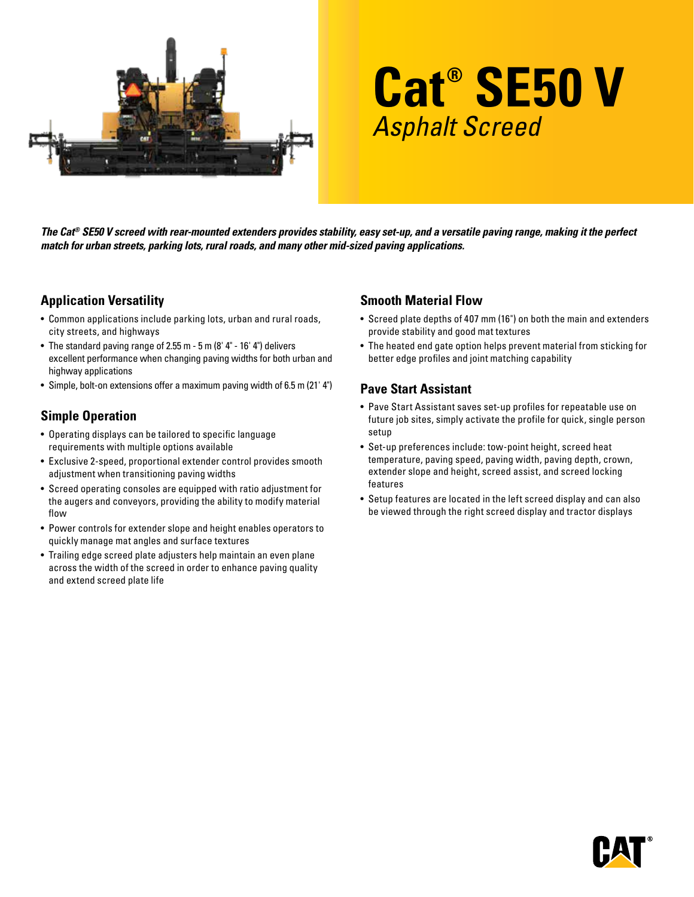

# **Cat® SE50 V** Asphalt Screed

*The Cat® SE50 V screed with rear-mounted extenders provides stability, easy set-up, and a versatile paving range, making it the perfect match for urban streets, parking lots, rural roads, and many other mid-sized paving applications.* 

## **Application Versatility**

- Common applications include parking lots, urban and rural roads, city streets, and highways
- The standard paving range of 2.55 m 5 m (8' 4" 16' 4") delivers excellent performance when changing paving widths for both urban and highway applications
- Simple, bolt-on extensions offer a maximum paving width of 6.5 m (21' 4")

## **Simple Operation**

- Operating displays can be tailored to specific language requirements with multiple options available
- Exclusive 2-speed, proportional extender control provides smooth adjustment when transitioning paving widths
- Screed operating consoles are equipped with ratio adjustment for the augers and conveyors, providing the ability to modify material flow
- Power controls for extender slope and height enables operators to quickly manage mat angles and surface textures
- Trailing edge screed plate adjusters help maintain an even plane across the width of the screed in order to enhance paving quality and extend screed plate life

## **Smooth Material Flow**

- Screed plate depths of 407 mm (16") on both the main and extenders provide stability and good mat textures
- The heated end gate option helps prevent material from sticking for better edge profiles and joint matching capability

## **Pave Start Assistant**

- Pave Start Assistant saves set-up profiles for repeatable use on future job sites, simply activate the profile for quick, single person setup
- Set-up preferences include: tow-point height, screed heat temperature, paving speed, paving width, paving depth, crown, extender slope and height, screed assist, and screed locking features
- Setup features are located in the left screed display and can also be viewed through the right screed display and tractor displays

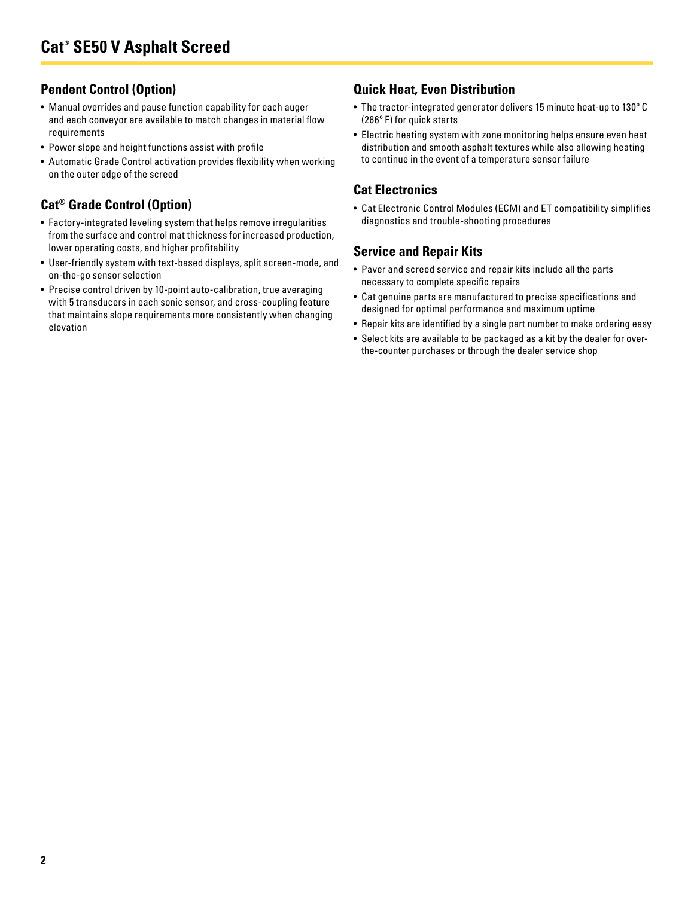# **Pendent Control (Option)**

- Manual overrides and pause function capability for each auger and each conveyor are available to match changes in material flow requirements
- Power slope and height functions assist with profile
- Automatic Grade Control activation provides flexibility when working on the outer edge of the screed

# **Cat® Grade Control (Option)**

- Factory-integrated leveling system that helps remove irregularities from the surface and control mat thickness for increased production, lower operating costs, and higher profitability
- User-friendly system with text-based displays, split screen-mode, and on-the-go sensor selection
- Precise control driven by 10-point auto-calibration, true averaging with 5 transducers in each sonic sensor, and cross-coupling feature that maintains slope requirements more consistently when changing elevation

## **Quick Heat, Even Distribution**

- The tractor-integrated generator delivers 15 minute heat-up to 130º C (266º F) for quick starts
- Electric heating system with zone monitoring helps ensure even heat distribution and smooth asphalt textures while also allowing heating to continue in the event of a temperature sensor failure

## **Cat Electronics**

• Cat Electronic Control Modules (ECM) and ET compatibility simplifies diagnostics and trouble-shooting procedures

# **Service and Repair Kits**

- Paver and screed service and repair kits include all the parts necessary to complete specific repairs
- Cat genuine parts are manufactured to precise specifications and designed for optimal performance and maximum uptime
- Repair kits are identified by a single part number to make ordering easy
- Select kits are available to be packaged as a kit by the dealer for overthe-counter purchases or through the dealer service shop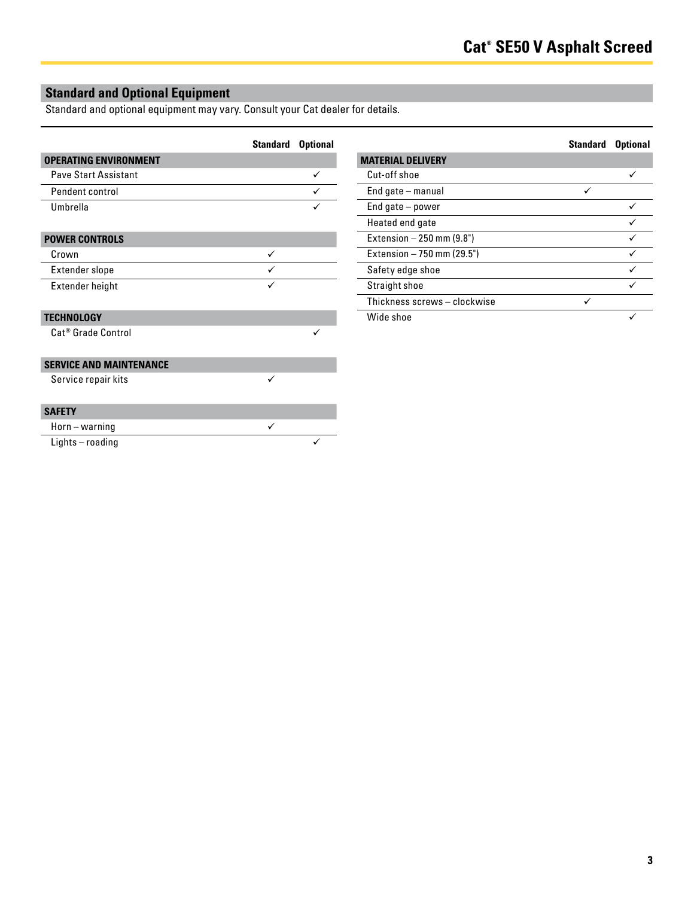# **Standard and Optional Equipment**

Standard and optional equipment may vary. Consult your Cat dealer for details.

|                                | <b>Standard</b> | <b>Optional</b> |
|--------------------------------|-----------------|-----------------|
| <b>OPERATING ENVIRONMENT</b>   |                 |                 |
| <b>Pave Start Assistant</b>    |                 | ✓               |
| Pendent control                |                 |                 |
| Umbrella                       |                 |                 |
|                                |                 |                 |
| <b>POWER CONTROLS</b>          |                 |                 |
| Crown                          | ✓               |                 |
| Extender slope                 | ✓               |                 |
| Extender height                |                 |                 |
|                                |                 |                 |
| <b>TECHNOLOGY</b>              |                 |                 |
| Cat <sup>®</sup> Grade Control |                 | $\checkmark$    |
|                                |                 |                 |
| <b>SERVICE AND MAINTENANCE</b> |                 |                 |
| Service repair kits            | ✓               |                 |
|                                |                 |                 |
| <b>SAFETY</b>                  |                 |                 |
| $Horn - warning$               | ✓               |                 |
| Lights-roading                 |                 |                 |

|                              | <b>Standard</b> | <b>Optional</b> |
|------------------------------|-----------------|-----------------|
| <b>MATERIAL DELIVERY</b>     |                 |                 |
| Cut-off shoe                 |                 |                 |
| End gate – manual            |                 |                 |
| End gate $-$ power           |                 |                 |
| Heated end gate              |                 |                 |
| Extension $-250$ mm (9.8")   |                 |                 |
| Extension - 750 mm (29.5")   |                 |                 |
| Safety edge shoe             |                 |                 |
| Straight shoe                |                 |                 |
| Thickness screws - clockwise |                 |                 |
| Wide shoe                    |                 |                 |